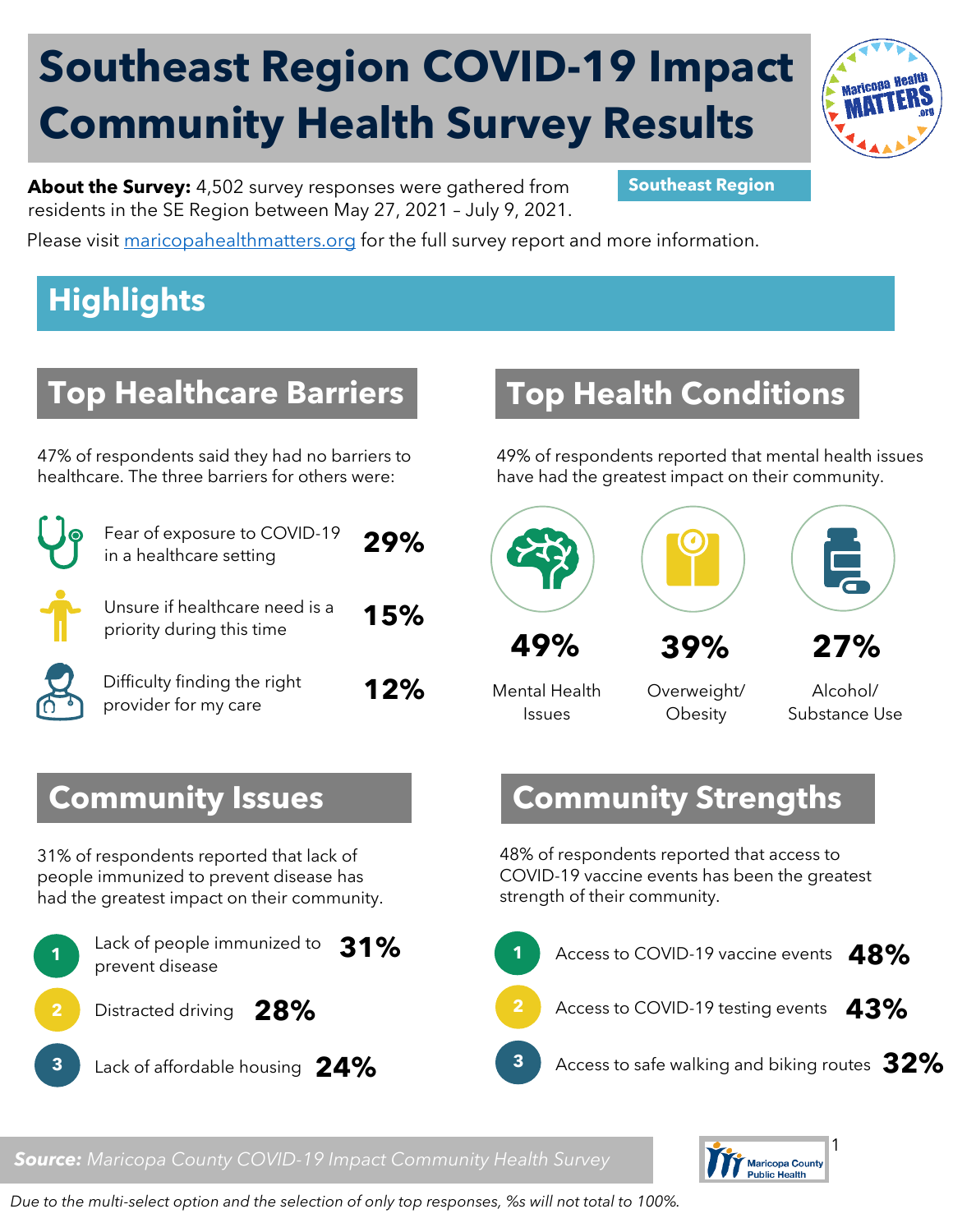# **Southeast Region COVID-19 Impact Community Health Survey Results**



**About the Survey:** 4,502 survey responses were gathered from **Southeast Region** residents in the SE Region between May 27, 2021 – July 9, 2021.

Please visit [maricopahealthmatters.org](https://www.maricopa.gov/5100/Health-Data-Maricopa-Health-Matters) for the full survey report and more information.

## **Highlights**

#### **Top Healthcare Barriers**

47% of respondents said they had no barriers to healthcare. The three barriers for others were:

|                       | Fear of exposure to COVID-19<br>in a healthcare setting     | 29% |
|-----------------------|-------------------------------------------------------------|-----|
|                       | Unsure if healthcare need is a<br>priority during this time | 15% |
| $\boldsymbol{\nabla}$ | Difficulty finding the right<br>provider for my care        | 12% |

## **Top Health Conditions**

49% of respondents reported that mental health issues have had the greatest impact on their community.



Mental Health Issues

Overweight/ **Obesity** 

Alcohol/ Substance Use

#### **Community Strengths**

48% of respondents reported that access to COVID-19 vaccine events has been the greatest strength of their community.



#### *Source: Maricopa County COVID-19 Impact Community Health Survey*



*Due to the multi-select option and the selection of only top responses, %s will not total to 100%.* 

#### **Community Issues**

31% of respondents reported that lack of people immunized to prevent disease has had the greatest impact on their community.

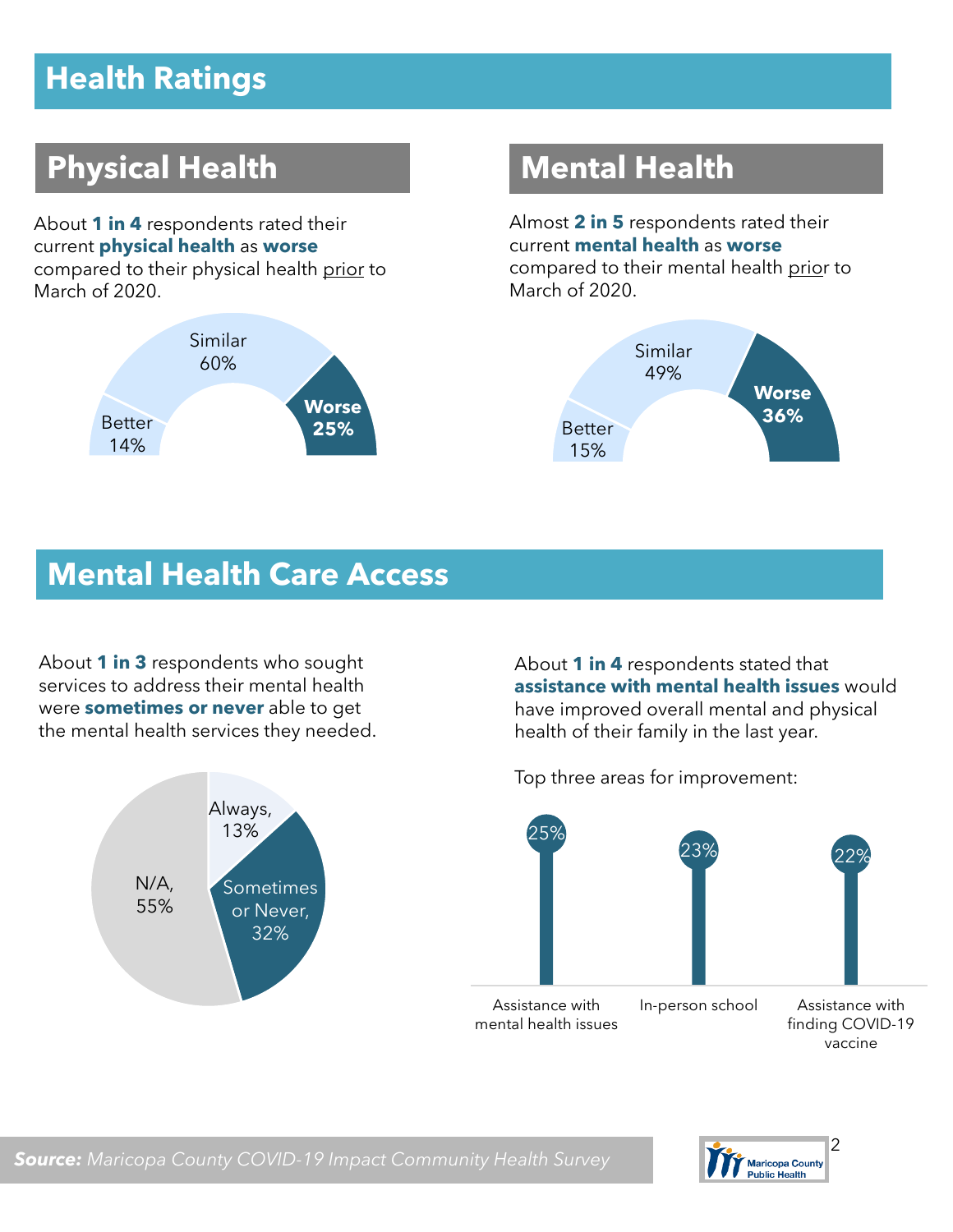## **Health Ratings**

## **Physical Health Mental Health**

About **1 in 4** respondents rated their current **physical health** as **worse** compared to their physical health prior to March of 2020.



Almost **2 in 5** respondents rated their current **mental health** as **worse** compared to their mental health prior to March of 2020.



#### **Mental Health Care Access**

About **1 in 3** respondents who sought services to address their mental health were **sometimes or never** able to get the mental health services they needed.



About **1 in 4** respondents stated that **assistance with mental health issues** would have improved overall mental and physical health of their family in the last year.

Top three areas for improvement:

 $[25\%]$ 23% 22% Assistance with mental health issues In-person school Assistance with finding COVID-19 vaccine

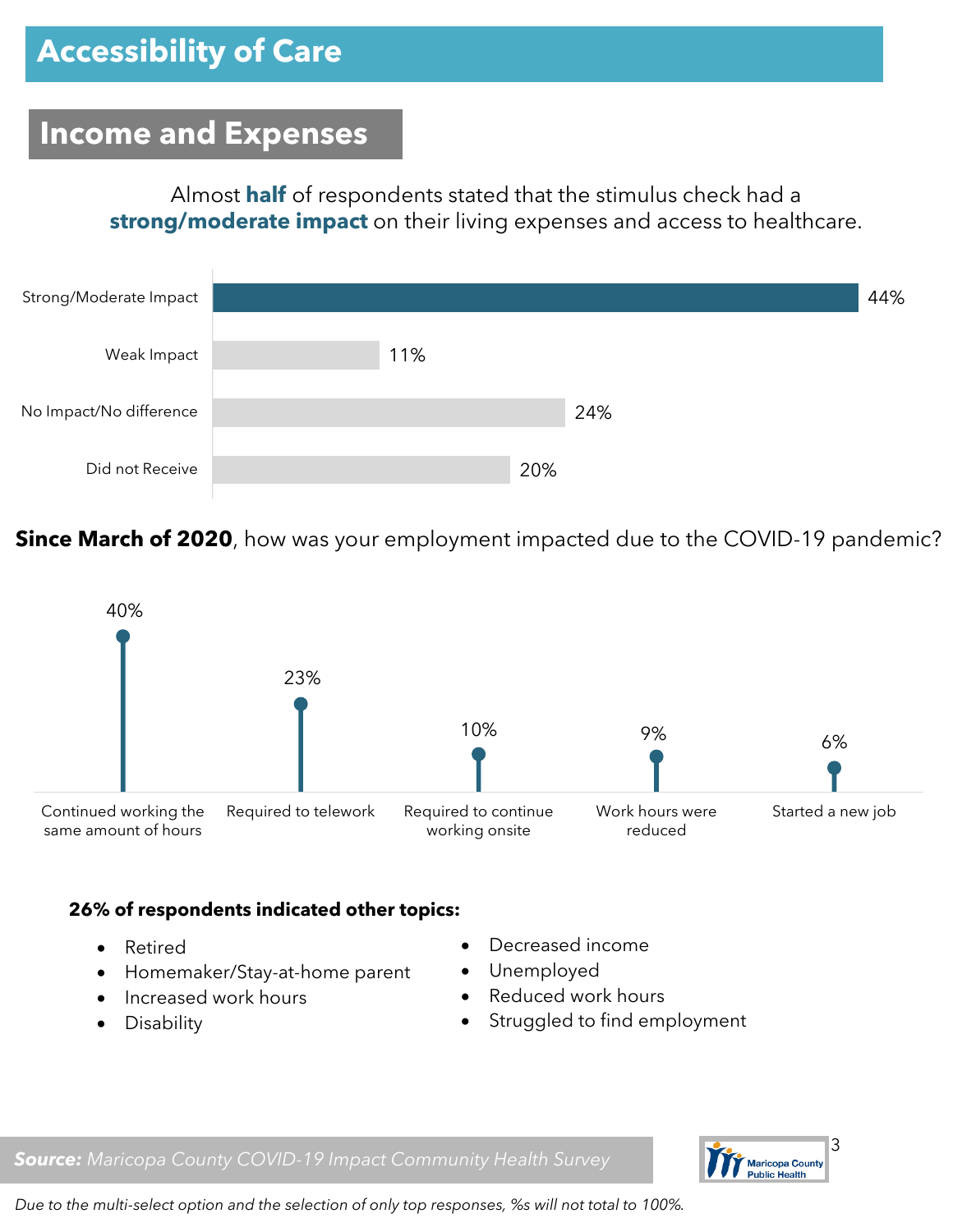#### **Income and Expenses**

Almost **half** of respondents stated that the stimulus check had a **strong/moderate impact** on their living expenses and access to healthcare.



**Since March of 2020**, how was your employment impacted due to the COVID-19 pandemic?



#### **26% of respondents indicated other topics:**

- Retired
- Homemaker/Stay-at-home parent
- Increased work hours
- Disability
- Decreased income
- Unemployed
- Reduced work hours
- Struggled to find employment

*Source: Maricopa County COVID-19 Impact Community Health Survey*



*Due to the multi-select option and the selection of only top responses, %s will not total to 100%.*